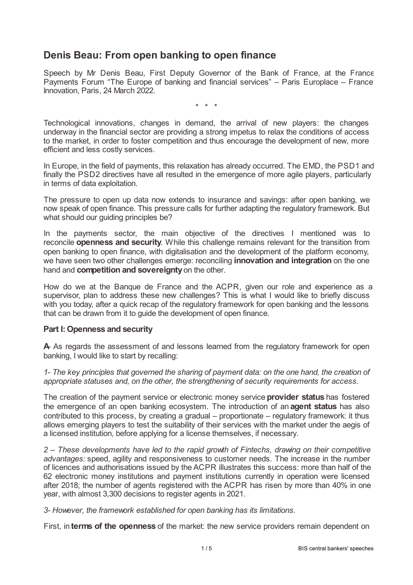# **Denis Beau: From open banking to open finance**

Speech by Mr Denis Beau, First Deputy Governor of the Bank of France, at the France Payments Forum "The Europe of banking and financial services" – Paris Europlace – France Innovation, Paris, 24 March 2022.

\* \* \*

Technological innovations, changes in demand, the arrival of new players: the changes underway in the financial sector are providing a strong impetus to relax the conditions of access to the market, in order to foster competition and thus encourage the development of new, more efficient and less costly services.

In Europe, in the field of payments, this relaxation has already occurred. The EMD, the PSD1 and finally the PSD2 directives have all resulted in the emergence of more agile players, particularly in terms of data exploitation.

The pressure to open up data now extends to insurance and savings: after open banking, we now speak of open finance. This pressure calls for further adapting the regulatory framework. But what should our guiding principles be?

In the payments sector, the main objective of the directives I mentioned was to reconcile **openness and security**. While this challenge remains relevant for the transition from open banking to open finance, with digitalisation and the development of the platform economy, we have seen two other challenges emerge: reconciling **innovation and integration** on the one hand and **competition and sovereignty**on the other.

How do we at the Banque de France and the ACPR, given our role and experience as a supervisor, plan to address these new challenges? This is what I would like to briefly discuss with you today, after a quick recap of the regulatory framework for open banking and the lessons that can be drawn from it to guide the development of open finance.

## **Part I:Openness and security**

A As regards the assessment of and lessons learned from the regulatory framework for open banking, I would like to start by recalling:

*1- The key principles that governed the sharing of payment data: on the one hand, the creation of appropriate statuses and, on the other, the strengthening of security requirements for access.*

The creation of the payment service or electronic money service **provider status** has fostered the emergence of an open banking ecosystem. The introduction of an **agent status** has also contributed to this process, by creating a gradual – proportionate – regulatory framework: it thus allows emerging players to test the suitability of their services with the market under the aegis of a licensed institution, before applying for a license themselves, if necessary.

*2 – These developments have led to the rapid growth of Fintechs, drawing on their competitive advantages:* speed, agility and responsiveness to customer needs. The increase in the number of licences and authorisations issued by the ACPR illustrates this success: more than half of the 62 electronic money institutions and payment institutions currently in operation were licensed after 2018; the number of agents registered with the ACPR has risen by more than 40% in one year, with almost 3,300 decisions to register agents in 2021.

*3- However, the framework established for open banking has its limitations.*

First, in **terms of the openness** of the market: the new service providers remain dependent on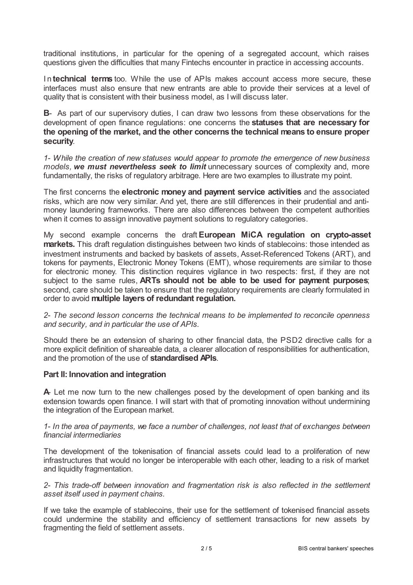traditional institutions, in particular for the opening of a segregated account, which raises questions given the difficulties that many Fintechs encounter in practice in accessing accounts.

I n **technical terms** too. While the use of APIs makes account access more secure, these interfaces must also ensure that new entrants are able to provide their services at a level of quality that is consistent with their business model, as I will discuss later.

**B**- As part of our supervisory duties, I can draw two lessons from these observations for the development of open finance regulations: one concerns the **statuses that are necessary for the opening of the market, and the other concerns the technical means to ensure proper security**.

*1- While the creation of new statuses would appear to promote the emergence of new business models, we must nevertheless seek to limit* unnecessary sources of complexity and, more fundamentally, the risks of regulatory arbitrage*.* Here are two examples to illustrate my point.

The first concerns the **electronic money and payment service activities** and the associated risks, which are now very similar. And yet, there are still differences in their prudential and antimoney laundering frameworks. There are also differences between the competent authorities when it comes to assign innovative payment solutions to regulatory categories.

My second example concerns the draft **European MiCA regulation on crypto-asset markets.** This draft regulation distinguishes between two kinds of stablecoins: those intended as investment instruments and backed by baskets of assets, Asset-Referenced Tokens (ART), and tokens for payments, Electronic Money Tokens (EMT), whose requirements are similar to those for electronic money. This distinction requires vigilance in two respects: first, if they are not subject to the same rules, **ARTs should not be able to be used for payment purposes**; second, care should be taken to ensure that the regulatory requirements are clearly formulated in order to avoid **multiple layers of redundant regulation.**

*2- The second lesson concerns the technical means to be implemented to reconcile openness and security, and in particular the use of APIs.*

Should there be an extension of sharing to other financial data, the PSD2 directive calls for a more explicit definition of shareable data, a clearer allocation of responsibilities for authentication, and the promotion of the use of **standardised APIs**.

### **Part II: Innovation and integration**

A Let me now turn to the new challenges posed by the development of open banking and its extension towards open finance. I will start with that of promoting innovation without undermining the integration of the European market.

*1- In the area of payments, we face a number of challenges, not least that of exchanges between financial intermediaries*

The development of the tokenisation of financial assets could lead to a proliferation of new infrastructures that would no longer be interoperable with each other, leading to a risk of market and liquidity fragmentation.

*2- This trade-off between innovation and fragmentation risk is also reflected in the settlement asset itself used in payment chains.*

If we take the example of stablecoins, their use for the settlement of tokenised financial assets could undermine the stability and efficiency of settlement transactions for new assets by fragmenting the field of settlement assets.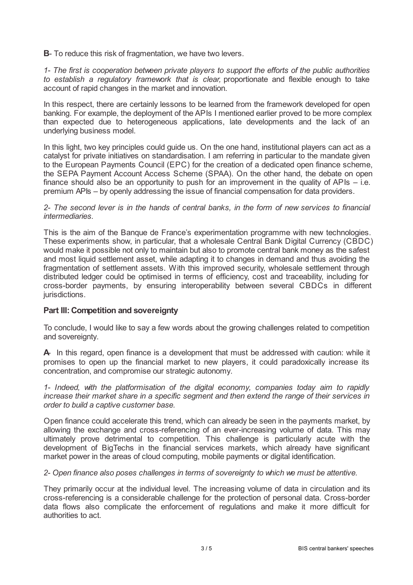**B**- To reduce this risk of fragmentation, we have two levers.

*1- The first is cooperation between private players to support the efforts of the public authorities to establish a regulatory framework that is clear,* proportionate and flexible enough to take account of rapid changes in the market and innovation.

In this respect, there are certainly lessons to be learned from the framework developed for open banking. For example, the deployment of the APIs I mentioned earlier proved to be more complex than expected due to heterogeneous applications, late developments and the lack of an underlying business model.

In this light, two key principles could guide us. On the one hand, institutional players can act as a catalyst for private initiatives on standardisation. I am referring in particular to the mandate given to the European Payments Council (EPC) for the creation of a dedicated open finance scheme, the SEPA Payment Account Access Scheme (SPAA). On the other hand, the debate on open finance should also be an opportunity to push for an improvement in the quality of APIs  $-$  i.e. premium APIs – by openly addressing the issue of financial compensation for data providers.

#### 2- The second lever is in the hands of central banks, in the form of new services to financial *intermediaries.*

This is the aim of the Banque de France's experimentation programme with new technologies. These experiments show, in particular, that a wholesale Central Bank Digital Currency (CBDC) would make it possible not only to maintain but also to promote central bank money as the safest and most liquid settlement asset, while adapting it to changes in demand and thus avoiding the fragmentation of settlement assets. With this improved security, wholesale settlement through distributed ledger could be optimised in terms of efficiency, cost and traceability, including for cross-border payments, by ensuring interoperability between several CBDCs in different jurisdictions.

## **Part III:Competition and sovereignty**

To conclude, I would like to say a few words about the growing challenges related to competition and sovereignty.

**A**- In this regard, open finance is a development that must be addressed with caution: while it promises to open up the financial market to new players, it could paradoxically increase its concentration, and compromise our strategic autonomy.

*1- Indeed, with the platformisation of the digital economy, companies today aim to rapidly increase their market share in a specific segment and then extend the range of their services in order to build a captive customer base.*

Open finance could accelerate this trend, which can already be seen in the payments market, by allowing the exchange and cross-referencing of an ever-increasing volume of data. This may ultimately prove detrimental to competition. This challenge is particularly acute with the development of BigTechs in the financial services markets, which already have significant market power in the areas of cloud computing, mobile payments or digital identification.

*2- Open finance also poses challenges in terms of sovereignty to which we must be attentive.*

They primarily occur at the individual level. The increasing volume of data in circulation and its cross-referencing is a considerable challenge for the protection of personal data. Cross-border data flows also complicate the enforcement of regulations and make it more difficult for authorities to act.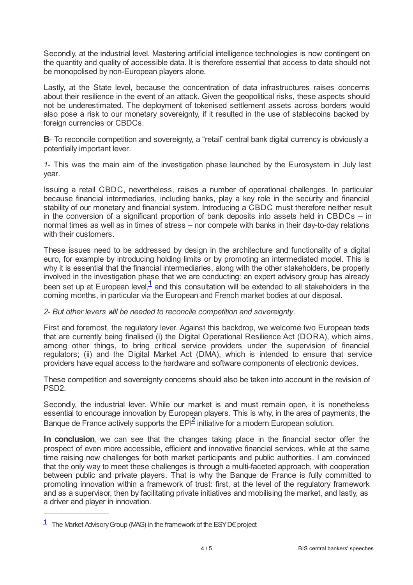Secondly, at the industrial level. Mastering artificial intelligence technologies is now contingent on the quantity and quality of accessible data. It is therefore essential that access to data should not be monopolised by non-European players alone.

Lastly, at the State level, because the concentration of data infrastructures raises concerns about their resilience in the event of an attack. Given the geopolitical risks, these aspects should not be underestimated. The deployment of tokenised settlement assets across borders would also pose a risk to our monetary sovereignty, if it resulted in the use of stablecoins backed by foreign currencies or CBDCs.

**B**- To reconcile competition and sovereignty, a "retail" central bank digital currency is obviously a potentially important lever.

*1-* This was the main aim of the investigation phase launched by the Eurosystem in July last year.

Issuing a retail CBDC, nevertheless, raises a number of operational challenges. In particular because financial intermediaries, including banks, play a key role in the security and financial stability of our monetary and financial system. Introducing a CBDC must therefore neither result in the conversion of a significant proportion of bank deposits into assets held in CBDCs – in normal times as well as in times of stress – nor compete with banks in their day-to-day relations with their customers.

These issues need to be addressed by design in the architecture and functionality of a digital euro, for example by introducing holding limits or by promoting an intermediated model. This is why it is essential that the financial intermediaries, along with the other stakeholders, be properly involved in the investigation phase that we are conducting: an expert advisory group has already been set up at European level, $\frac{1}{2}$  $\frac{1}{2}$  $\frac{1}{2}$  and this consultation will be extended to all stakeholders in the coming months, in particular via the European and French market bodies at our disposal.

## <span id="page-3-1"></span>*2- But other levers will be needed to reconcile competition and sovereignty.*

First and foremost, the regulatory lever. Against this backdrop, we welcome two European texts that are currently being finalised (i) the Digital Operational Resilience Act (DORA), which aims, among other things, to bring critical service providers under the supervision of financial regulators; (ii) and the Digital Market Act (DMA), which is intended to ensure that service providers have equal access to the hardware and software components of electronic devices.

These competition and sovereignty concerns should also be taken into account in the revision of PSD2.

Secondly, the industrial lever. While our market is and must remain open, it is nonetheless essential to encourage innovation by European players. This is why, in the area of payments, the Banque de France actively supports the  $EP^2$  $EP^2$  initiative for a modern European solution.

<span id="page-3-2"></span>**In conclusion**, we can see that the changes taking place in the financial sector offer the prospect of even more accessible, efficient and innovative financial services, while at the same time raising new challenges for both market participants and public authorities. I am convinced that the only way to meet these challenges is through a multi-faceted approach, with cooperation between public and private players. That is why the Banque de France is fully committed to promoting innovation within a framework of trust: first, at the level of the regulatory framework and as a supervisor, then by facilitating private initiatives and mobilising the market, and lastly, as a driver and player in innovation.

<span id="page-3-0"></span> $1$  The Market Advisory Group (MAG) in the framework of the ESY D€ project